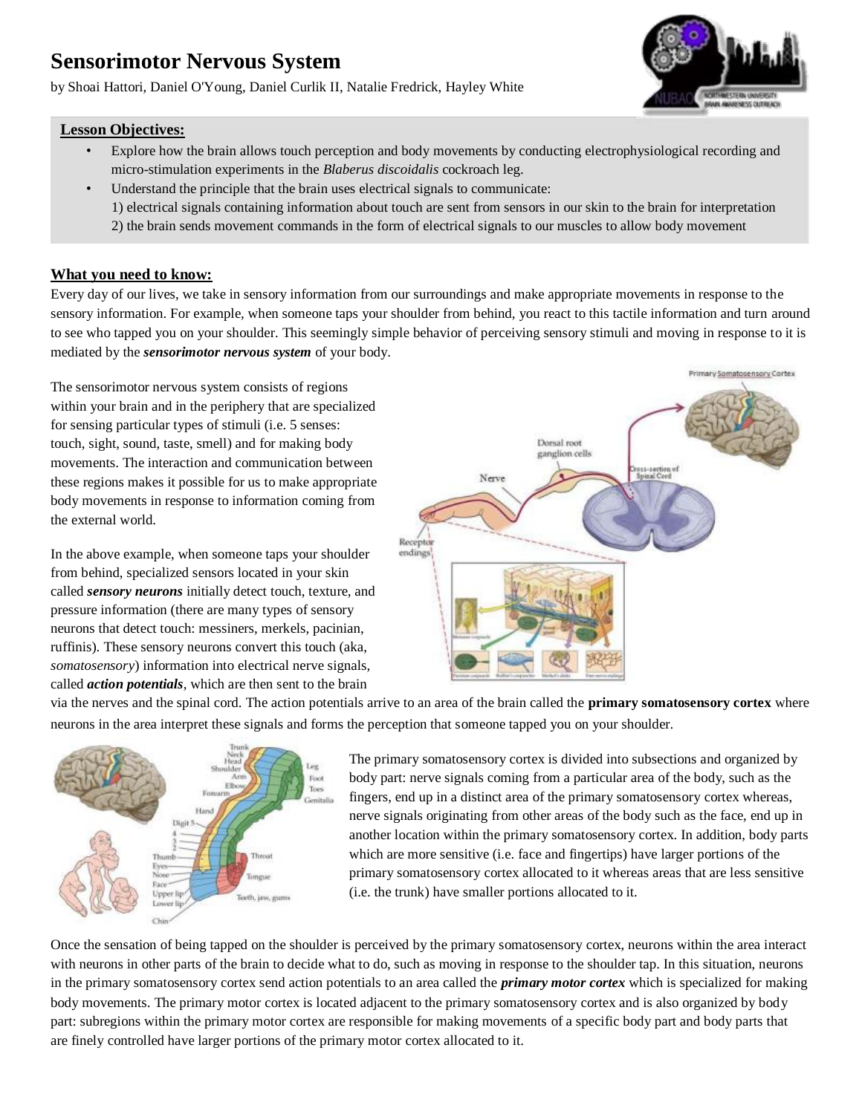# **Sensorimotor Nervous System**

by Shoai Hattori, Daniel O'Young, Daniel Curlik II, Natalie Fredrick, Hayley White



### **Lesson Objectives:**

- Explore how the brain allows touch perception and body movements by conducting electrophysiological recording and micro-stimulation experiments in the *Blaberus discoidalis* cockroach leg.
- Understand the principle that the brain uses electrical signals to communicate: 1) electrical signals containing information about touch are sent from sensors in our skin to the brain for interpretation 2) the brain sends movement commands in the form of electrical signals to our muscles to allow body movement
- 

### **What you need to know:**

Every day of our lives, we take in sensory information from our surroundings and make appropriate movements in response to the sensory information. For example, when someone taps your shoulder from behind, you react to this tactile information and turn around to see who tapped you on your shoulder. This seemingly simple behavior of perceiving sensory stimuli and moving in response to it is mediated by the *sensorimotor nervous system* of your body.

The sensorimotor nervous system consists of regions within your brain and in the periphery that are specialized for sensing particular types of stimuli (i.e. 5 senses: touch, sight, sound, taste, smell) and for making body movements. The interaction and communication between these regions makes it possible for us to make appropriate body movements in response to information coming from the external world.

In the above example, when someone taps your shoulder from behind, specialized sensors located in your skin called *sensory neurons* initially detect touch, texture, and pressure information (there are many types of sensory neurons that detect touch: messiners, merkels, pacinian, ruffinis). These sensory neurons convert this touch (aka, *somatosensory*) information into electrical nerve signals, called *action potentials*, which are then sent to the brain



via the nerves and the spinal cord. The action potentials arrive to an area of the brain called the **primary somatosensory cortex** where neurons in the area interpret these signals and forms the perception that someone tapped you on your shoulder.



The primary somatosensory cortex is divided into subsections and organized by body part: nerve signals coming from a particular area of the body, such as the fingers, end up in a distinct area of the primary somatosensory cortex whereas, nerve signals originating from other areas of the body such as the face, end up in another location within the primary somatosensory cortex. In addition, body parts which are more sensitive (i.e. face and fingertips) have larger portions of the primary somatosensory cortex allocated to it whereas areas that are less sensitive (i.e. the trunk) have smaller portions allocated to it.

Once the sensation of being tapped on the shoulder is perceived by the primary somatosensory cortex, neurons within the area interact with neurons in other parts of the brain to decide what to do, such as moving in response to the shoulder tap. In this situation, neurons in the primary somatosensory cortex send action potentials to an area called the *primary motor cortex* which is specialized for making body movements. The primary motor cortex is located adjacent to the primary somatosensory cortex and is also organized by body part: subregions within the primary motor cortex are responsible for making movements of a specific body part and body parts that are finely controlled have larger portions of the primary motor cortex allocated to it.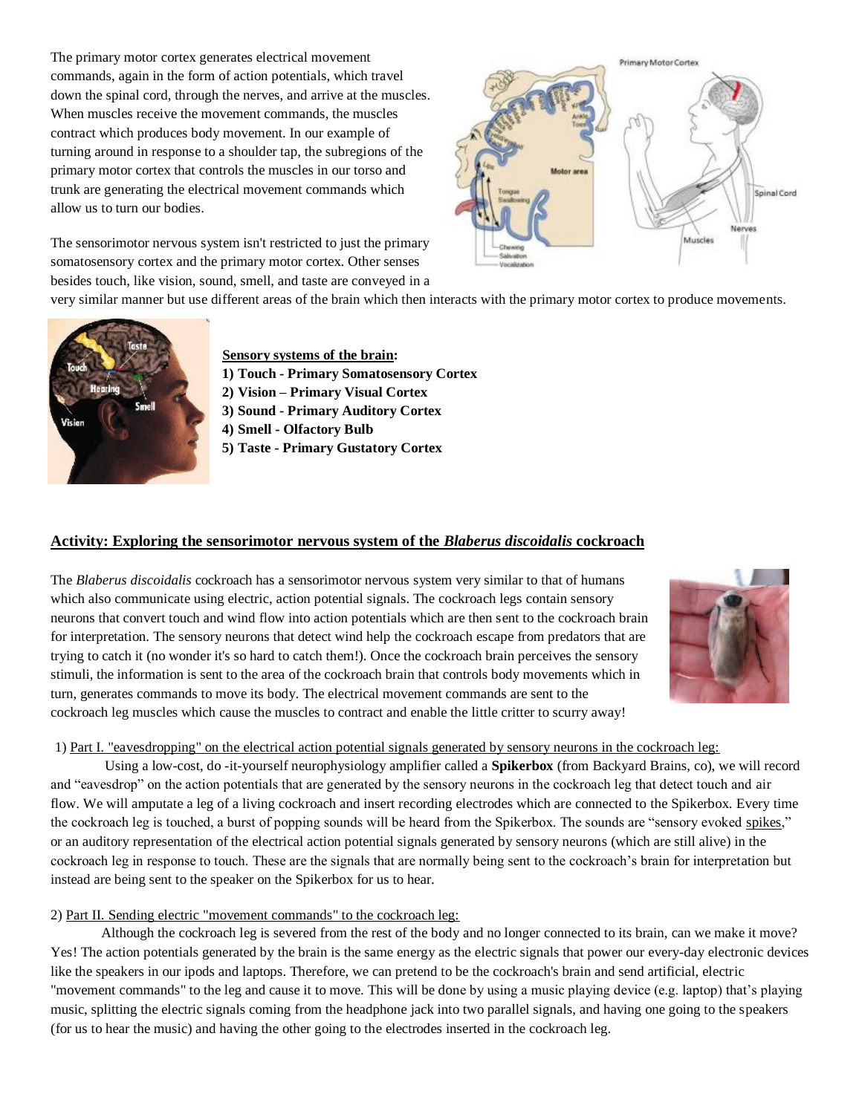The primary motor cortex generates electrical movement commands, again in the form of action potentials, which travel down the spinal cord, through the nerves, and arrive at the muscles. When muscles receive the movement commands, the muscles contract which produces body movement. In our example of turning around in response to a shoulder tap, the subregions of the primary motor cortex that controls the muscles in our torso and trunk are generating the electrical movement commands which allow us to turn our bodies.

The sensorimotor nervous system isn't restricted to just the primary somatosensory cortex and the primary motor cortex. Other senses besides touch, like vision, sound, smell, and taste are conveyed in a



very similar manner but use different areas of the brain which then interacts with the primary motor cortex to produce movements.



### **Sensory systems of the brain:**

- **1) Touch - Primary Somatosensory Cortex**
- **2) Vision – Primary Visual Cortex**
- **3) Sound - Primary Auditory Cortex**
- **4) Smell - Olfactory Bulb**
- **5) Taste - Primary Gustatory Cortex**

#### **Activity: Exploring the sensorimotor nervous system of the** *Blaberus discoidalis* **cockroach**

The *Blaberus discoidalis* cockroach has a sensorimotor nervous system very similar to that of humans which also communicate using electric, action potential signals. The cockroach legs contain sensory neurons that convert touch and wind flow into action potentials which are then sent to the cockroach brain for interpretation. The sensory neurons that detect wind help the cockroach escape from predators that are trying to catch it (no wonder it's so hard to catch them!). Once the cockroach brain perceives the sensory stimuli, the information is sent to the area of the cockroach brain that controls body movements which in turn, generates commands to move its body. The electrical movement commands are sent to the cockroach leg muscles which cause the muscles to contract and enable the little critter to scurry away!



#### 1) Part I. "eavesdropping" on the electrical action potential signals generated by sensory neurons in the cockroach leg:

Using a low-cost, do -it-yourself neurophysiology amplifier called a **Spikerbox** (from Backyard Brains, co), we will record and "eavesdrop" on the action potentials that are generated by the sensory neurons in the cockroach leg that detect touch and air flow. We will amputate a leg of a living cockroach and insert recording electrodes which are connected to the Spikerbox. Every time the cockroach leg is touched, a burst of popping sounds will be heard from the Spikerbox. The sounds are "sensory evoked spikes," or an auditory representation of the electrical action potential signals generated by sensory neurons (which are still alive) in the cockroach leg in response to touch. These are the signals that are normally being sent to the cockroach's brain for interpretation but instead are being sent to the speaker on the Spikerbox for us to hear.

### 2) Part II. Sending electric "movement commands" to the cockroach leg:

Although the cockroach leg is severed from the rest of the body and no longer connected to its brain, can we make it move? Yes! The action potentials generated by the brain is the same energy as the electric signals that power our every-day electronic devices like the speakers in our ipods and laptops. Therefore, we can pretend to be the cockroach's brain and send artificial, electric "movement commands" to the leg and cause it to move. This will be done by using a music playing device (e.g. laptop) that's playing music, splitting the electric signals coming from the headphone jack into two parallel signals, and having one going to the speakers (for us to hear the music) and having the other going to the electrodes inserted in the cockroach leg.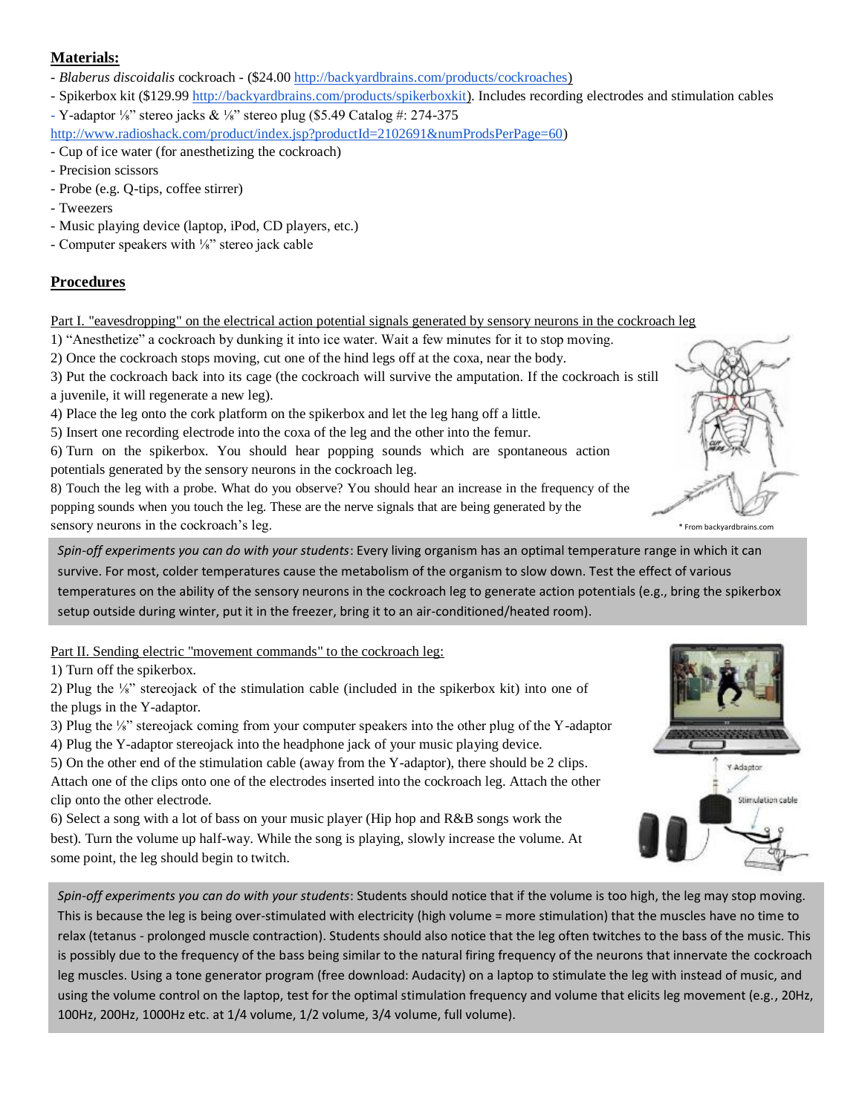### **Materials:**

- *Blaberus discoidalis* cockroach - (\$24.00 [http://backyardbrains.com/products/cockroaches\)](http://backyardbrains.com/products/cockroaches)

- Spikerbox kit (\$129.99 [http://backyardbrains.com/products/spikerboxkit\).](http://backyardbrains.com/products/spikerboxkit) Includes recording electrodes and stimulation cables

- Y-adaptor ¼" stereo jacks & ¼" stereo plug (\$5.49 Catalog #: 274-375

- [http://www.radioshack.com/product/index.jsp?productId=2102691&numProdsPerPage=60\)](http://www.radioshack.com/product/index.jsp?productId=2102691&numProdsPerPage=60)
- Cup of ice water (for anesthetizing the cockroach)
- Precision scissors
- Probe (e.g. Q-tips, coffee stirrer)
- Tweezers
- Music playing device (laptop, iPod, CD players, etc.)
- Computer speakers with ⅛" stereo jack cable

### **Procedures**

Part I. "eavesdropping" on the electrical action potential signals generated by sensory neurons in the cockroach leg

1) "Anesthetize" a cockroach by dunking it into ice water. Wait a few minutes for it to stop moving.

2) Once the cockroach stops moving, cut one of the hind legs off at the coxa, near the body.

3) Put the cockroach back into its cage (the cockroach will survive the amputation. If the cockroach is still a juvenile, it will regenerate a new leg).

4) Place the leg onto the cork platform on the spikerbox and let the leg hang off a little.

5) Insert one recording electrode into the coxa of the leg and the other into the femur.

6) Turn on the spikerbox. You should hear popping sounds which are spontaneous action potentials generated by the sensory neurons in the cockroach leg.

8) Touch the leg with a probe. What do you observe? You should hear an increase in the frequency of the popping sounds when you touch the leg. These are the nerve signals that are being generated by the sensory neurons in the cockroach's leg. The sensory neurons in the cockroach's leg.

*Spin-off experiments you can do with your students*: Every living organism has an optimal temperature range in which it can survive. For most, colder temperatures cause the metabolism of the organism to slow down. Test the effect of various temperatures on the ability of the sensory neurons in the cockroach leg to generate action potentials (e.g., bring the spikerbox setup outside during winter, put it in the freezer, bring it to an air-conditioned/heated room).

Part II. Sending electric "movement commands" to the cockroach leg:

1) Turn off the spikerbox.

2) Plug the ⅛" stereojack of the stimulation cable (included in the spikerbox kit) into one of the plugs in the Y-adaptor.

3) Plug the ⅛" stereojack coming from your computer speakers into the other plug of the Y-adaptor 4) Plug the Y-adaptor stereojack into the headphone jack of your music playing device.

5) On the other end of the stimulation cable (away from the Y-adaptor), there should be 2 clips. Attach one of the clips onto one of the electrodes inserted into the cockroach leg. Attach the other clip onto the other electrode.

6) Select a song with a lot of bass on your music player (Hip hop and R&B songs work the best). Turn the volume up half-way. While the song is playing, slowly increase the volume. At some point, the leg should begin to twitch.

*Spin-off experiments you can do with your students*: Students should notice that if the volume is too high, the leg may stop moving. This is because the leg is being over-stimulated with electricity (high volume = more stimulation) that the muscles have no time to relax (tetanus - prolonged muscle contraction). Students should also notice that the leg often twitches to the bass of the music. This is possibly due to the frequency of the bass being similar to the natural firing frequency of the neurons that innervate the cockroach leg muscles. Using a tone generator program (free download: Audacity) on a laptop to stimulate the leg with instead of music, and using the volume control on the laptop, test for the optimal stimulation frequency and volume that elicits leg movement (e.g., 20Hz, 100Hz, 200Hz, 1000Hz etc. at 1/4 volume, 1/2 volume, 3/4 volume, full volume).



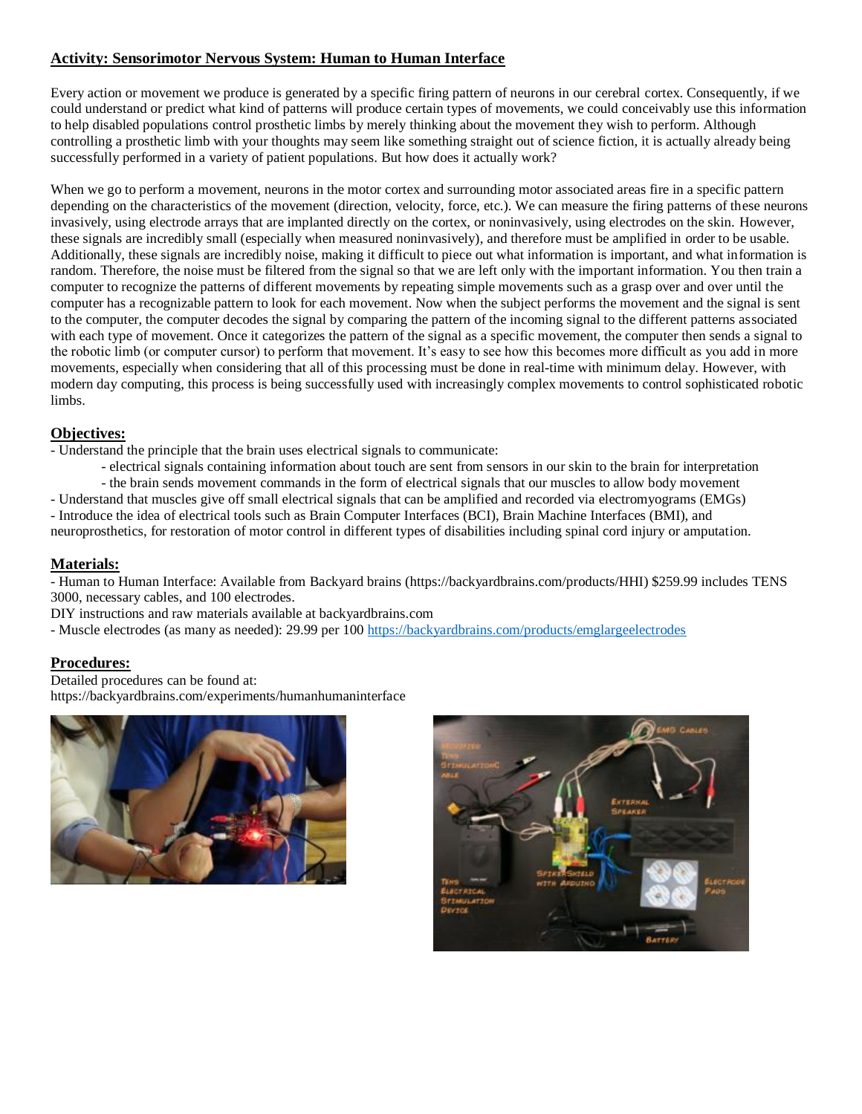### **Activity: Sensorimotor Nervous System: Human to Human Interface**

Every action or movement we produce is generated by a specific firing pattern of neurons in our cerebral cortex. Consequently, if we could understand or predict what kind of patterns will produce certain types of movements, we could conceivably use this information to help disabled populations control prosthetic limbs by merely thinking about the movement they wish to perform. Although controlling a prosthetic limb with your thoughts may seem like something straight out of science fiction, it is actually already being successfully performed in a variety of patient populations. But how does it actually work?

When we go to perform a movement, neurons in the motor cortex and surrounding motor associated areas fire in a specific pattern depending on the characteristics of the movement (direction, velocity, force, etc.). We can measure the firing patterns of these neurons invasively, using electrode arrays that are implanted directly on the cortex, or noninvasively, using electrodes on the skin. However, these signals are incredibly small (especially when measured noninvasively), and therefore must be amplified in order to be usable. Additionally, these signals are incredibly noise, making it difficult to piece out what information is important, and what information is random. Therefore, the noise must be filtered from the signal so that we are left only with the important information. You then train a computer to recognize the patterns of different movements by repeating simple movements such as a grasp over and over until the computer has a recognizable pattern to look for each movement. Now when the subject performs the movement and the signal is sent to the computer, the computer decodes the signal by comparing the pattern of the incoming signal to the different patterns associated with each type of movement. Once it categorizes the pattern of the signal as a specific movement, the computer then sends a signal to the robotic limb (or computer cursor) to perform that movement. It's easy to see how this becomes more difficult as you add in more movements, especially when considering that all of this processing must be done in real-time with minimum delay. However, with modern day computing, this process is being successfully used with increasingly complex movements to control sophisticated robotic limbs.

### **Objectives:**

- Understand the principle that the brain uses electrical signals to communicate:

- electrical signals containing information about touch are sent from sensors in our skin to the brain for interpretation

- the brain sends movement commands in the form of electrical signals that our muscles to allow body movement

- Understand that muscles give off small electrical signals that can be amplified and recorded via electromyograms (EMGs) - Introduce the idea of electrical tools such as Brain Computer Interfaces (BCI), Brain Machine Interfaces (BMI), and neuroprosthetics, for restoration of motor control in different types of disabilities including spinal cord injury or amputation.

### **Materials:**

- Human to Human Interface: Available from Backyard brains (https://backyardbrains.com/products/HHI) \$259.99 includes TENS 3000, necessary cables, and 100 electrodes.

DIY instructions and raw materials available at backyardbrains.com

- Muscle electrodes (as many as needed): 29.99 per 100<https://backyardbrains.com/products/emglargeelectrodes>

### **Procedures:**

Detailed procedures can be found at: https://backyardbrains.com/experiments/humanhumaninterface